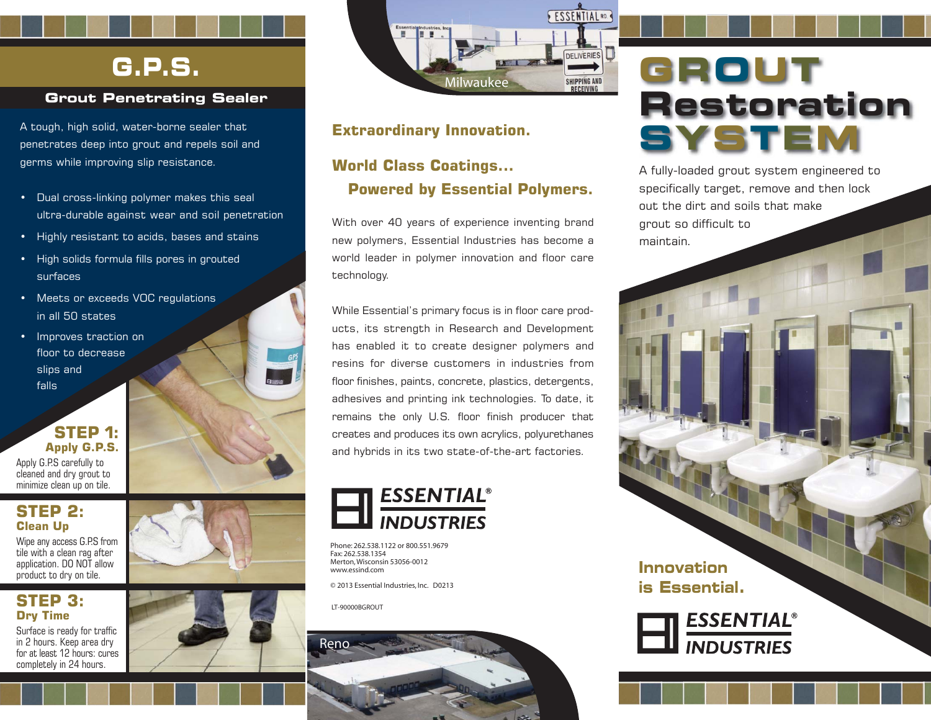### **G.P.S.**

### **Grout Penetrating Sealer**

A tough, high solid, water-borne sealer that penetrates deep into grout and repels soil and germs while improving slip resistance.

- Dual cross-linking polymer makes this seal ultra-durable against wear and soil penetration
- Highly resistant to acids, bases and stains
- High solids formula fills pores in grouted surfaces
- Meets or exceeds VOC regulations in all 50 states
- Improves traction on floor to decrease slips and falls

### **STEP 1: Apply G.P.S.**

Apply G.P.S carefully to cleaned and dry grout to minimize clean up on tile.

### **STEP 2: Clean Up**

Wipe any access G.P.S from tile with a clean rag after application. DO NOT allow product to dry on tile.

### **STEP 3: Dry Time**

Surface is ready for traffic in 2 hours. Keep area dry for at least 12 hours: cures completely in 24 hours.





### **Extraordinary Innovation.**

### **World Class Coatings... Powered by Essential Polymers.**

With over 40 years of experience inventing brand new polymers, Essential Industries has become a world leader in polymer innovation and floor care technology.

While Essential's primary focus is in floor care products, its strength in Research and Development has enabled it to create designer polymers and resins for diverse customers in industries from floor finishes, paints, concrete, plastics, detergents, adhesives and printing ink technologies. To date, it remains the only U.S. floor finish producer that creates and produces its own acrylics, polyurethanes and hybrids in its two state-of-the-art factories.



Phone: 262.538.1122 or 800.551.9679 Fax: 262.538.1354 Merton, Wisconsin 53056-0012 www.essind.com

© 2013 Essential Industries, Inc. D0213

LT-90000BGROUT



## **GROUT Restoration SYSTEM**

A fully-loaded grout system engineered to specifically target, remove and then lock out the dirt and soils that make grout so difficult to maintain.

### **Innovation is Essential.**